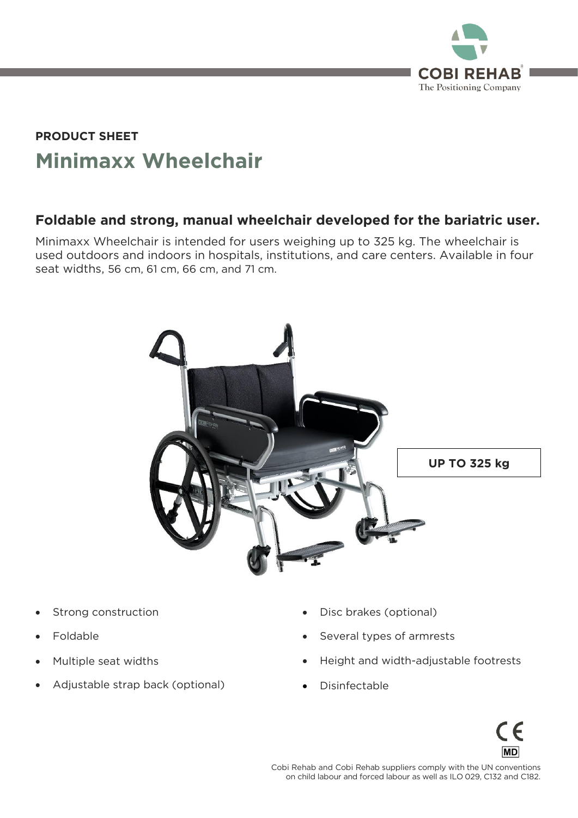

# **Minimaxx Wheelchair PRODUCT SHEET**

### **Foldable and strong, manual wheelchair developed for the bariatric user.**

Minimaxx Wheelchair is intended for users weighing up to 325 kg. The wheelchair is used outdoors and indoors in hospitals, institutions, and care centers. Available in four seat widths, 56 cm, 61 cm, 66 cm, and 71 cm. seat with  $\frac{1}{2}$  cm,  $\frac{1}{2}$  cm,  $\frac{1}{2}$  cm,  $\frac{1}{2}$  cm,  $\frac{1}{2}$  cm,  $\frac{1}{2}$ 



- Strong construction
- Foldable
- Multiple seat widths
- Adjustable strap back (optional)
- Disc brakes (optional)
- Several types of armrests
- Height and width-adjustable footrests

on child labour and forced labour as well as ILO 029, C132 and C182.

• Disinfectable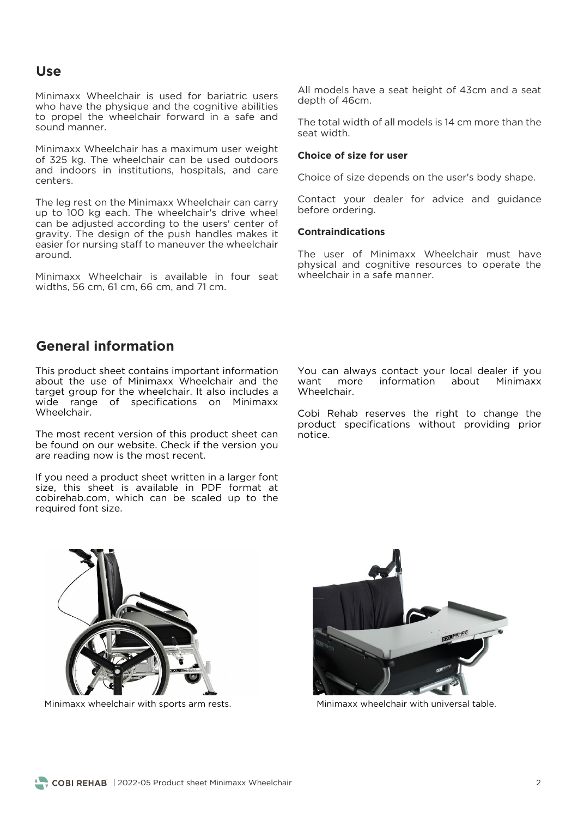### **Use**

Minimaxx Wheelchair is used for bariatric users who have the physique and the cognitive abilities to propel the wheelchair forward in a safe and sound manner.

Minimaxx Wheelchair has a maximum user weight and indoors in institutions, hospitals, and care centers.

up to 100 kg each. The wheelchair's drive wheel<br>can be adjusted according to the users' center of can be adjusted according to the users' center of gravity. The design of the push handles makes it easier for nursing staff to maneuver the wheelchair  $around$ 

Minimaxx Wheelchair is available in four seat widths, 56 cm, 61 cm, 66 cm, and 71 cm. widths, 56 cm, 61 cm, 66 cm, and 71 cm.

All models have a seat height of 43cm and a seat depth of 46cm. depth of 46cm.

The total width of all models is 14 cm more than the

#### **Choice of size for user**

Choice of size depends on the user's body shape.

Contact your dealer for advice and guidance<br>before ordering. before ordering.

#### **Contraindications**

The user of Minimaxx Wheelchair must have physical and cognitive resources to operate the wheelchair in a safe manner.

### **General information**

This product sheet contains important information<br>about the use of Minimaxx Wheelchair and the target group for the wheelchair. It also includes a wide range of specifications on Minimaxx Wheelchair. Wheelchair.

The most recent version of this product sheet can be found on our website. Check if the version you are reading now is the most recent. are reading now is the most recent.

If you need a product sheet written in a larger font size, this sheet is available in PDF format at cobirehab.com, which can be scaled up to the required font size. required font size.

You can always contact your local dealer if you<br>want more information about Minimaxx Wheelchair. Wheelchair.

Cobi Rehab reserves the right to change the product specifications without providing prior product specifications with providing providing providing providing providing providing providing providing pr<br>Providing prior by a providing providing providing providing providing providing providing providing providing



Minimaxx wheelchair with sports arm rests.



Minimaxx wheelchair with universal table.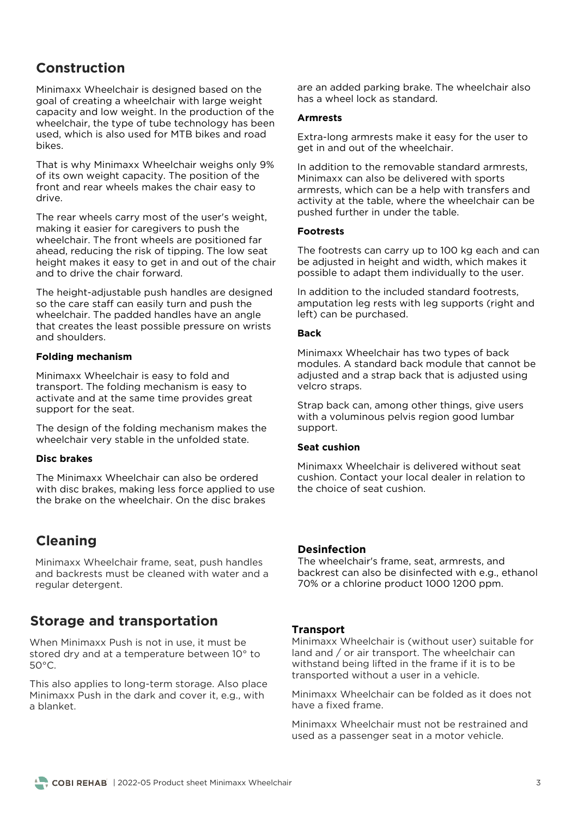## **Construction**

Minimaxx Wheelchair is designed based on the goal of creating a wheelchair with large weight capacity and low weight. In the production of the wheelchair, the type of tube technology has been used, which is also used for MTB bikes and road used, which is also used for MTB bikes and road

That is why Minimaxx Wheelchair weighs only 9% front and rear wheels makes the chair easy to front and rear wheels makes the chair easy to

The rear wheels carry most of the user's weight, making it easier for caregivers to push the wheelchair. The front wheels are positioned far ahead, reducing the risk of tipping. The low seat height makes it easy to get in and out of the chair and to drive the chair forward. and to drive the chair forward.

The height-adjustable push handles are designed so the care staff can easily turn and push the wheelchair. The padded handles have an angle that creates the least possible pressure on wrists and shoulders. and shoulders.

### **Folding mechanism**

Minimaxx Wheelchair is easy to fold and<br>transport. The folding mechanism is easy to activate and at the same time provides great support for the seat. support for the seat.

The design of the folding mechanism makes the wheelchair very stable in the unfolded state. where  $\frac{1}{2}$  states in the unit the unit

### **Disc brakes**

The Minimaxx Wheelchair can also be ordered the brake on the wheelchair. On the disc brakes the brake on the wheelchair. On the disc brakes

### **Cleaning**

Minimaxx Wheelchair frame, seat, push handles<br>and backrests must be cleaned with water and a regular detergent. regular detergent.

### **Storage and transportation**

 $\frac{1}{2}$  and  $\frac{1}{2}$  at a temperature between  $10^{\circ}$ stored dry and at a temperature between 10° to  $\mathcal{F}^{\mathcal{F}}_{\mathcal{F}}$ 

This also applies to long-term storage. Also place<br>Minimaxx Push in the dark and cover it, e.g., with a blanket.

are an added parking brake. The wheelchair also<br>has a wheel lock as standard. has a wheel lock as standard.

### **Armrests**

Extra-long armrests make it easy for the user to get in and out of the wheelchair. get in and out of the wheelchair.

In addition to the removable standard armrests. Minimaxx can also be delivered with sports armrests, which can be a help with transfers and activity at the table, where the wheelchair can be pushed further in under the table. pushed further in under the table.

### **Footrests**

The footrests can carry up to 100 kg each and can<br>be adjusted in height and width, which makes it possible to adapt them individually to the user. possible to adapt them individually to the user.

In addition to the included standard footrests. amputation leg rests with leg supports (right and left) can be purchased. left) can be purchased.

### **Back**

Minimaxx Wheelchair has two types of back<br>modules. A standard back module that cannot be adjusted and a strap back that is adjusted using velcro straps. velcro straps.

Strap back can, among other things, give users<br>with a voluminous pelvis region good lumbar support. support.

### **Seat cushion**

Minimaxx Wheelchair is delivered without seat<br>cushion. Contact your local dealer in relation to the choice of seat cushion. the choice of seat cushion.

### **Desinfection**

The wheelchair's frame, seat, armrests, and<br>backrest can also be disinfected with e.g., ethanol 70% or a chlorine product 1000 1200 ppm. 70% or a chlorine product 1000 1200 ppm.

### **Transport**

Minimaxx Wheelchair is (without user) suitable for land and / or air transport. The wheelchair can withstand being lifted in the frame if it is to be transported without a user in a vehicle. transported without a user in a vehicle.

Minimaxx Wheelchair can be folded as it does not

Minimaxx Wheelchair must not be restrained and  $\frac{1}{100}$  as a passenger seat in a motor vehicle used as a passenger seat in a motor vehicle.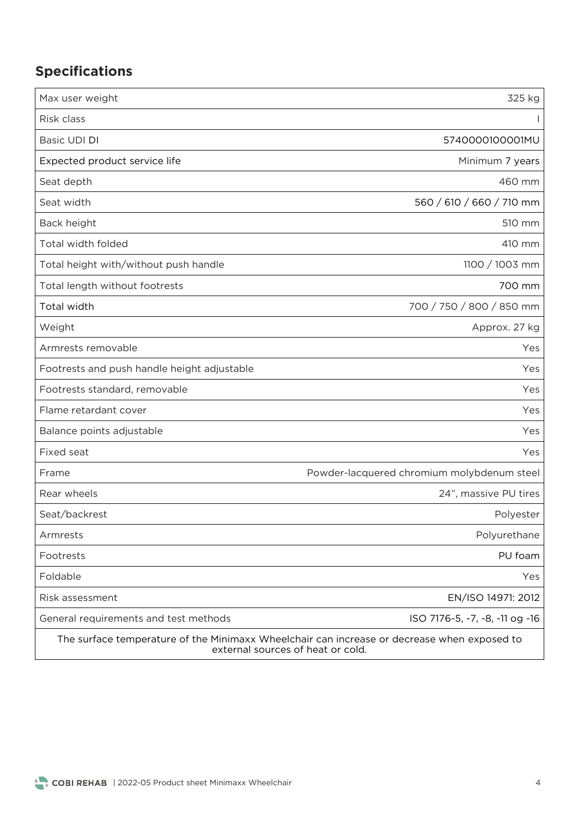# **Specifications**

| Max user weight                                                                                                                  | 325 kg                                     |
|----------------------------------------------------------------------------------------------------------------------------------|--------------------------------------------|
| Risk class                                                                                                                       |                                            |
| Basic UDI DI                                                                                                                     | 5740000100001MU                            |
| Expected product service life                                                                                                    | Minimum 7 years                            |
| Seat depth                                                                                                                       | 460 mm                                     |
| Seat width                                                                                                                       | 560 / 610 / 660 / 710 mm                   |
| Back height                                                                                                                      | 510 mm                                     |
| Total width folded                                                                                                               | 410 mm                                     |
| Total height with/without push handle                                                                                            | 1100 / 1003 mm                             |
| Total length without footrests                                                                                                   | 700 mm                                     |
| Total width                                                                                                                      | 700 / 750 / 800 / 850 mm                   |
| Weight                                                                                                                           | Approx. 27 kg                              |
| Armrests removable                                                                                                               | Yes                                        |
| Footrests and push handle height adjustable                                                                                      | Yes                                        |
| Footrests standard, removable                                                                                                    | Yes                                        |
| Flame retardant cover                                                                                                            | Yes                                        |
| Balance points adjustable                                                                                                        | Yes                                        |
| Fixed seat                                                                                                                       | Yes                                        |
| Frame                                                                                                                            | Powder-lacquered chromium molybdenum steel |
| Rear wheels                                                                                                                      | 24", massive PU tires                      |
| Seat/backrest                                                                                                                    | Polyester                                  |
| Armrests                                                                                                                         | Polyurethane                               |
| Footrests                                                                                                                        | PU foam                                    |
| Foldable                                                                                                                         | Yes                                        |
| Risk assessment                                                                                                                  | EN/ISO 14971: 2012                         |
| General requirements and test methods                                                                                            | ISO 7176-5, -7, -8, -11 og -16             |
| The surface temperature of the Minimaxx Wheelchair can increase or decrease when exposed to<br>external sources of heat or cold. |                                            |

external sources of heat or cold.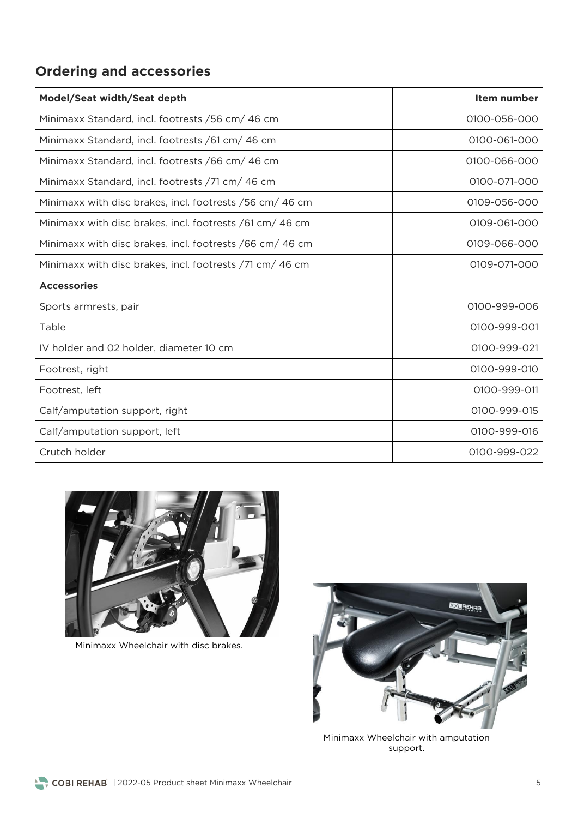# **Ordering and accessories**

| Model/Seat width/Seat depth                               | Item number  |
|-----------------------------------------------------------|--------------|
| Minimaxx Standard, incl. footrests / 56 cm/ 46 cm         | 0100-056-000 |
| Minimaxx Standard, incl. footrests /61 cm/ 46 cm          | 0100-061-000 |
| Minimaxx Standard, incl. footrests /66 cm/ 46 cm          | 0100-066-000 |
| Minimaxx Standard, incl. footrests /71 cm/ 46 cm          | 0100-071-000 |
| Minimaxx with disc brakes, incl. footrests / 56 cm/ 46 cm | 0109-056-000 |
| Minimaxx with disc brakes, incl. footrests /61 cm/ 46 cm  | 0109-061-000 |
| Minimaxx with disc brakes, incl. footrests /66 cm/ 46 cm  | 0109-066-000 |
| Minimaxx with disc brakes, incl. footrests /71 cm/ 46 cm  | 0109-071-000 |
| <b>Accessories</b>                                        |              |
| Sports armrests, pair                                     | 0100-999-006 |
| Table                                                     | 0100-999-001 |
| IV holder and 02 holder, diameter 10 cm                   | 0100-999-021 |
| Footrest, right                                           | 0100-999-010 |
| Footrest, left                                            | 0100-999-011 |
| Calf/amputation support, right                            | 0100-999-015 |
| Calf/amputation support, left                             | 0100-999-016 |
| Crutch holder                                             | 0100-999-022 |



Minimaxx Wheelchair with disc brakes.



Minimaxx Wheelchair with amputation support.